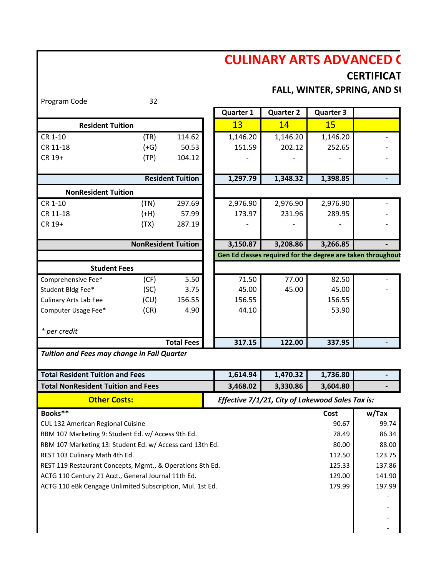## **CULINARY ARTS ADVANCED (**

## **CERTIFICAT**

**FALL, WINTER, SPRING, AND SI** 

| Program Code                                                                        | 32                         |                         |                  |                  |                                                             |                          |
|-------------------------------------------------------------------------------------|----------------------------|-------------------------|------------------|------------------|-------------------------------------------------------------|--------------------------|
|                                                                                     |                            |                         | <b>Quarter 1</b> | <b>Quarter 2</b> | <b>Quarter 3</b>                                            |                          |
| <b>Resident Tuition</b>                                                             |                            |                         | 13               | 14               | <b>15</b>                                                   |                          |
| CR 1-10                                                                             | (TR)                       | 114.62                  | 1,146.20         | 1,146.20         | 1,146.20                                                    |                          |
| CR 11-18                                                                            | $(+G)$                     | 50.53                   | 151.59           | 202.12           | 252.65                                                      |                          |
| CR 19+                                                                              | (TP)                       | 104.12                  |                  |                  |                                                             |                          |
|                                                                                     |                            |                         |                  |                  |                                                             |                          |
|                                                                                     |                            | <b>Resident Tuition</b> | 1,297.79         | 1,348.32         | 1,398.85                                                    |                          |
| <b>NonResident Tuition</b>                                                          |                            |                         |                  |                  |                                                             |                          |
| CR 1-10                                                                             | (TN)                       | 297.69                  | 2,976.90         | 2,976.90         | 2,976.90                                                    |                          |
| CR 11-18                                                                            | $(+H)$                     | 57.99                   | 173.97           | 231.96           | 289.95                                                      |                          |
| CR 19+                                                                              | (TX)                       | 287.19                  |                  |                  |                                                             |                          |
|                                                                                     |                            |                         |                  |                  |                                                             |                          |
|                                                                                     | <b>NonResident Tuition</b> |                         | 3,150.87         | 3,208.86         | 3,266.85                                                    |                          |
|                                                                                     |                            |                         |                  |                  | Gen Ed classes required for the degree are taken throughout |                          |
| <b>Student Fees</b>                                                                 |                            |                         |                  |                  |                                                             |                          |
| Comprehensive Fee*                                                                  | (CF)                       | 5.50                    | 71.50            | 77.00            | 82.50                                                       |                          |
| Student Bldg Fee*                                                                   | (SC)                       | 3.75                    | 45.00            | 45.00            | 45.00                                                       |                          |
| Culinary Arts Lab Fee                                                               | (CU)                       | 156.55                  | 156.55           |                  | 156.55                                                      |                          |
| Computer Usage Fee*                                                                 | (CR)                       | 4.90                    | 44.10            |                  | 53.90                                                       |                          |
|                                                                                     |                            |                         |                  |                  |                                                             |                          |
| * per credit                                                                        |                            |                         |                  |                  |                                                             |                          |
|                                                                                     |                            | <b>Total Fees</b>       | 317.15           | 122.00           | 337.95                                                      |                          |
| Tuition and Fees may change in Fall Quarter                                         |                            |                         |                  |                  |                                                             |                          |
|                                                                                     |                            |                         | 1,614.94         | 1,470.32         | 1,736.80                                                    |                          |
| <b>Total Resident Tuition and Fees</b><br><b>Total NonResident Tuition and Fees</b> |                            |                         | 3,468.02         |                  |                                                             |                          |
|                                                                                     |                            |                         |                  | 3,330.86         | 3,604.80                                                    |                          |
| <b>Other Costs:</b>                                                                 |                            |                         |                  |                  | Effective 7/1/21, City of Lakewood Sales Tax is:            |                          |
| Books**                                                                             |                            |                         |                  |                  | Cost                                                        | w/Tax                    |
| CUL 132 American Regional Cuisine                                                   |                            |                         | 90.67            | 99.74            |                                                             |                          |
| RBM 107 Marketing 9: Student Ed. w/ Access 9th Ed.                                  |                            |                         |                  |                  | 78.49                                                       | 86.34                    |
| RBM 107 Marketing 13: Student Ed. w/ Access card 13th Ed.                           |                            |                         |                  |                  | 80.00                                                       | 88.00                    |
| REST 103 Culinary Math 4th Ed.                                                      |                            |                         |                  |                  | 112.50                                                      | 123.75                   |
| REST 119 Restaurant Concepts, Mgmt., & Operations 8th Ed.                           |                            |                         |                  |                  | 125.33                                                      | 137.86                   |
| ACTG 110 Century 21 Acct., General Journal 11th Ed.                                 |                            |                         |                  |                  | 129.00                                                      | 141.90                   |
| ACTG 110 eBk Cengage Unlimited Subscription, Mul. 1st Ed.                           |                            |                         |                  |                  | 179.99                                                      | 197.99                   |
|                                                                                     |                            |                         |                  |                  |                                                             |                          |
|                                                                                     |                            |                         |                  |                  |                                                             |                          |
|                                                                                     |                            |                         |                  |                  |                                                             | $\overline{\phantom{a}}$ |
|                                                                                     |                            |                         |                  |                  |                                                             |                          |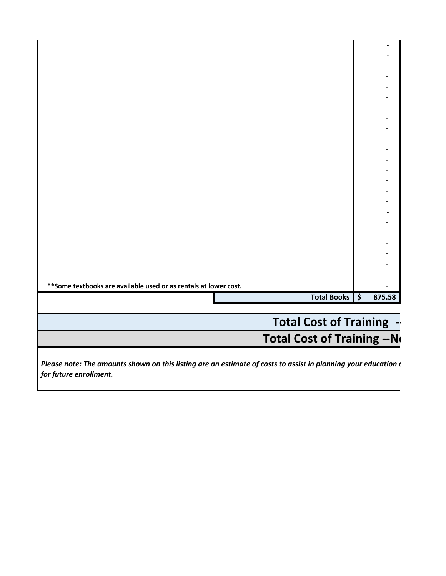| ** Some textbooks are available used or as rentals at lower cost. |                |        |
|-------------------------------------------------------------------|----------------|--------|
|                                                                   |                |        |
|                                                                   | Total Books \$ | 875.58 |
|                                                                   |                |        |
|                                                                   |                |        |
|                                                                   |                |        |

## **Total Cost of Training -**

 **Total Cost of Training --No** 

*Please note: The amounts shown on this listing are an estimate of costs to assist in planning your education d for future enrollment.*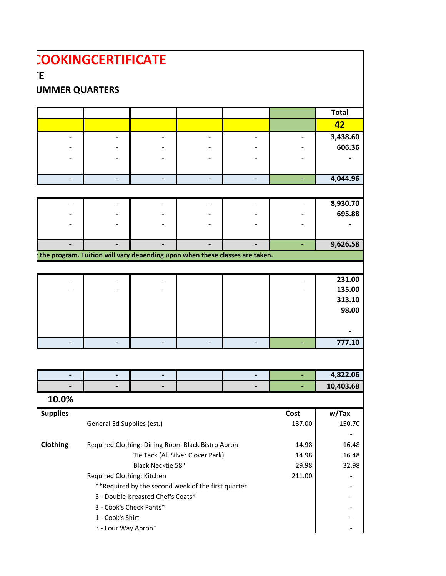|                                             | <b>COOKINGCERTIFICATE</b>                                                                       |                                   |                                                     |                              |                          |                          |
|---------------------------------------------|-------------------------------------------------------------------------------------------------|-----------------------------------|-----------------------------------------------------|------------------------------|--------------------------|--------------------------|
| Έ                                           |                                                                                                 |                                   |                                                     |                              |                          |                          |
| <b>UMMER QUARTERS</b>                       |                                                                                                 |                                   |                                                     |                              |                          |                          |
|                                             |                                                                                                 |                                   |                                                     |                              |                          |                          |
|                                             |                                                                                                 |                                   |                                                     |                              |                          | <b>Total</b>             |
|                                             |                                                                                                 |                                   |                                                     |                              |                          | 42                       |
| $\overline{\phantom{a}}$                    | $\blacksquare$                                                                                  | $\overline{\phantom{a}}$          | $\overline{\phantom{a}}$                            | $\qquad \qquad \blacksquare$ | $\overline{\phantom{0}}$ | 3,438.60                 |
|                                             | $\overline{\phantom{a}}$                                                                        |                                   | $\overline{\phantom{0}}$                            |                              |                          | 606.36                   |
|                                             | $\overline{\phantom{0}}$                                                                        |                                   | $\overline{\phantom{a}}$                            |                              | $\overline{\phantom{0}}$ |                          |
| $\blacksquare$                              | $\blacksquare$                                                                                  | $\blacksquare$                    | $\blacksquare$                                      | $\overline{\phantom{a}}$     | $\overline{\phantom{a}}$ | 4,044.96                 |
|                                             |                                                                                                 |                                   |                                                     |                              |                          |                          |
| $\overline{\phantom{a}}$                    | $\overline{\phantom{a}}$                                                                        | $\overline{\phantom{a}}$          | $\overline{\phantom{a}}$                            | $\overline{\phantom{0}}$     | $\overline{\phantom{0}}$ | 8,930.70                 |
| $\overline{\phantom{a}}$                    | $\overline{\phantom{a}}$                                                                        |                                   | $\qquad \qquad -$                                   |                              | $\overline{\phantom{a}}$ | 695.88                   |
| $\overline{\phantom{a}}$                    | $\overline{\phantom{a}}$                                                                        |                                   | $\qquad \qquad -$                                   |                              | $\overline{\phantom{a}}$ | $\overline{\phantom{0}}$ |
|                                             | $\overline{\phantom{0}}$                                                                        | $\blacksquare$                    | $\blacksquare$                                      |                              | ÷.                       | 9,626.58                 |
|                                             | the program. Tuition will vary depending upon when these classes are taken.                     |                                   |                                                     |                              |                          |                          |
|                                             |                                                                                                 |                                   |                                                     |                              |                          |                          |
|                                             | $\overline{a}$                                                                                  |                                   |                                                     |                              | $\overline{\phantom{0}}$ | 231.00                   |
|                                             |                                                                                                 |                                   |                                                     |                              |                          | 135.00                   |
|                                             |                                                                                                 |                                   |                                                     |                              |                          | 313.10                   |
|                                             |                                                                                                 |                                   |                                                     |                              |                          | 98.00                    |
|                                             |                                                                                                 |                                   |                                                     |                              |                          |                          |
|                                             |                                                                                                 |                                   |                                                     |                              |                          |                          |
| $\blacksquare$                              | $\overline{\phantom{a}}$                                                                        | $\overline{\phantom{a}}$          | $\overline{\phantom{a}}$                            | $\overline{\phantom{a}}$     | $\blacksquare$           | 777.10                   |
|                                             |                                                                                                 |                                   |                                                     |                              |                          |                          |
|                                             |                                                                                                 |                                   |                                                     |                              |                          | 4,822.06                 |
|                                             | -                                                                                               |                                   |                                                     |                              | ÷.                       | 10,403.68                |
| 10.0%                                       |                                                                                                 |                                   |                                                     |                              |                          |                          |
| <b>Supplies</b>                             |                                                                                                 |                                   |                                                     |                              | Cost                     | w/Tax                    |
|                                             | General Ed Supplies (est.)                                                                      |                                   |                                                     |                              | 137.00                   | 150.70                   |
|                                             |                                                                                                 |                                   |                                                     |                              |                          |                          |
| Clothing                                    | Required Clothing: Dining Room Black Bistro Apron<br>14.98<br>Tie Tack (All Silver Clover Park) |                                   |                                                     |                              |                          | 16.48                    |
|                                             |                                                                                                 | 14.98                             | 16.48                                               |                              |                          |                          |
|                                             |                                                                                                 | 29.98                             | 32.98                                               |                              |                          |                          |
|                                             | Required Clothing: Kitchen                                                                      |                                   | 211.00                                              |                              |                          |                          |
|                                             |                                                                                                 | 3 - Double-breasted Chef's Coats* | ** Required by the second week of the first quarter |                              |                          |                          |
|                                             |                                                                                                 |                                   |                                                     |                              |                          |                          |
| 3 - Cook's Check Pants*<br>1 - Cook's Shirt |                                                                                                 |                                   |                                                     |                              |                          |                          |
|                                             | 3 - Four Way Apron*                                                                             |                                   |                                                     |                              |                          |                          |
|                                             |                                                                                                 |                                   |                                                     |                              |                          |                          |